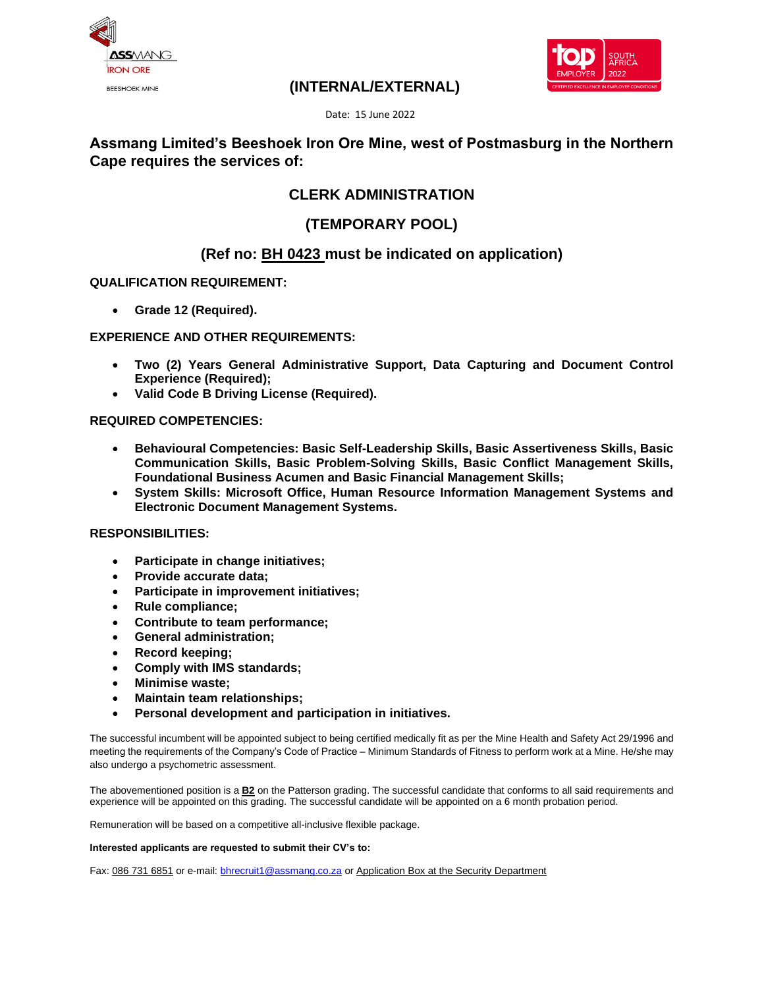



## **(INTERNAL/EXTERNAL)**

Date: 15 June 2022

## **Assmang Limited's Beeshoek Iron Ore Mine, west of Postmasburg in the Northern Cape requires the services of:**

# **CLERK ADMINISTRATION**

# **(TEMPORARY POOL)**

## **(Ref no: BH 0423 must be indicated on application)**

### **QUALIFICATION REQUIREMENT:**

• **Grade 12 (Required).**

### **EXPERIENCE AND OTHER REQUIREMENTS:**

- **Two (2) Years General Administrative Support, Data Capturing and Document Control Experience (Required);**
- **Valid Code B Driving License (Required).**

#### **REQUIRED COMPETENCIES:**

- **Behavioural Competencies: Basic Self-Leadership Skills, Basic Assertiveness Skills, Basic Communication Skills, Basic Problem-Solving Skills, Basic Conflict Management Skills, Foundational Business Acumen and Basic Financial Management Skills;**
- **System Skills: Microsoft Office, Human Resource Information Management Systems and Electronic Document Management Systems.**

#### **RESPONSIBILITIES:**

- **Participate in change initiatives;**
- **Provide accurate data;**
- **Participate in improvement initiatives;**
- **Rule compliance;**
- **Contribute to team performance;**
- **General administration;**
- **Record keeping;**
- **Comply with IMS standards;**
- **Minimise waste;**
- **Maintain team relationships;**
- **Personal development and participation in initiatives.**

The successful incumbent will be appointed subject to being certified medically fit as per the Mine Health and Safety Act 29/1996 and meeting the requirements of the Company's Code of Practice – Minimum Standards of Fitness to perform work at a Mine. He/she may also undergo a psychometric assessment.

The abovementioned position is a **B2** on the Patterson grading. The successful candidate that conforms to all said requirements and experience will be appointed on this grading. The successful candidate will be appointed on a 6 month probation period.

Remuneration will be based on a competitive all-inclusive flexible package.

#### **Interested applicants are requested to submit their CV's to:**

Fax: 086 731 6851 or e-mail[: bhrecruit1@assmang.co.za](mailto:bhrecruit1@assmang.co.za) or Application Box at the Security Department